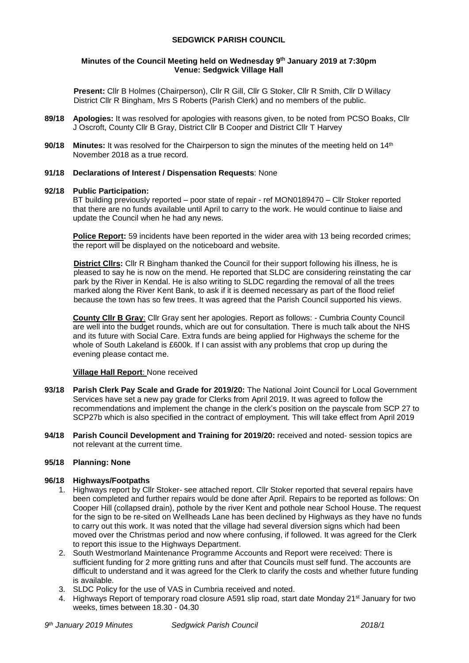# **SEDGWICK PARISH COUNCIL**

### **Minutes of the Council Meeting held on Wednesday 9 th January 2019 at 7:30pm Venue: Sedgwick Village Hall**

**Present:** Cllr B Holmes (Chairperson), Cllr R Gill, Cllr G Stoker, Cllr R Smith, Cllr D Willacy District Cllr R Bingham, Mrs S Roberts (Parish Clerk) and no members of the public.

- **89/18 Apologies:** It was resolved for apologies with reasons given, to be noted from PCSO Boaks, Cllr J Oscroft, County Cllr B Gray, District Cllr B Cooper and District Cllr T Harvey
- **90/18** Minutes: It was resolved for the Chairperson to sign the minutes of the meeting held on 14<sup>th</sup> November 2018 as a true record.

### **91/18 Declarations of Interest / Dispensation Requests**: None

### **92/18 Public Participation:**

BT building previously reported – poor state of repair - ref MON0189470 – Cllr Stoker reported that there are no funds available until April to carry to the work. He would continue to liaise and update the Council when he had any news.

**Police Report:** 59 incidents have been reported in the wider area with 13 being recorded crimes; the report will be displayed on the noticeboard and website.

**District Cllrs:** Cllr R Bingham thanked the Council for their support following his illness, he is pleased to say he is now on the mend. He reported that SLDC are considering reinstating the car park by the River in Kendal. He is also writing to SLDC regarding the removal of all the trees marked along the River Kent Bank, to ask if it is deemed necessary as part of the flood relief because the town has so few trees. It was agreed that the Parish Council supported his views.

**County Cllr B Gray**: Cllr Gray sent her apologies. Report as follows: - Cumbria County Council are well into the budget rounds, which are out for consultation. There is much talk about the NHS and its future with Social Care. Extra funds are being applied for Highways the scheme for the whole of South Lakeland is £600k. If I can assist with any problems that crop up during the evening please contact me.

### **Village Hall Report**: None received

- **93/18 Parish Clerk Pay Scale and Grade for 2019/20:** The National Joint Council for Local Government Services have set a new pay grade for Clerks from April 2019. It was agreed to follow the recommendations and implement the change in the clerk's position on the payscale from SCP 27 to SCP27b which is also specified in the contract of employment. This will take effect from April 2019
- **94/18 Parish Council Development and Training for 2019/20:** received and noted- session topics are not relevant at the current time.

### **95/18 Planning: None**

### **96/18 Highways/Footpaths**

- 1. Highways report by Cllr Stoker- see attached report. Cllr Stoker reported that several repairs have been completed and further repairs would be done after April. Repairs to be reported as follows: On Cooper Hill (collapsed drain), pothole by the river Kent and pothole near School House. The request for the sign to be re-sited on Wellheads Lane has been declined by Highways as they have no funds to carry out this work. It was noted that the village had several diversion signs which had been moved over the Christmas period and now where confusing, if followed. It was agreed for the Clerk to report this issue to the Highways Department.
- 2. South Westmorland Maintenance Programme Accounts and Report were received: There is sufficient funding for 2 more gritting runs and after that Councils must self fund. The accounts are difficult to understand and it was agreed for the Clerk to clarify the costs and whether future funding is available.
- 3. SLDC Policy for the use of VAS in Cumbria received and noted.
- 4. Highways Report of temporary road closure A591 slip road, start date Monday 21<sup>st</sup> January for two weeks, times between 18.30 - 04.30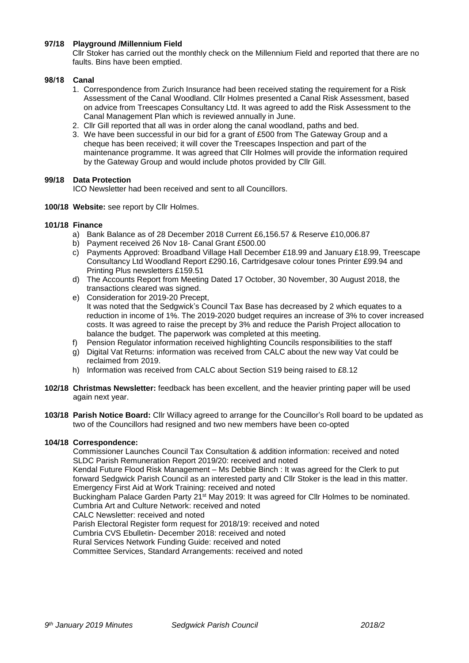### **97/18 Playground /Millennium Field**

Cllr Stoker has carried out the monthly check on the Millennium Field and reported that there are no faults. Bins have been emptied.

### **98/18 Canal**

- 1. Correspondence from Zurich Insurance had been received stating the requirement for a Risk Assessment of the Canal Woodland. Cllr Holmes presented a Canal Risk Assessment, based on advice from Treescapes Consultancy Ltd. It was agreed to add the Risk Assessment to the Canal Management Plan which is reviewed annually in June.
- 2. Cllr Gill reported that all was in order along the canal woodland, paths and bed.
- 3. We have been successful in our bid for a grant of £500 from The Gateway Group and a cheque has been received; it will cover the Treescapes Inspection and part of the maintenance programme. It was agreed that Cllr Holmes will provide the information required by the Gateway Group and would include photos provided by Cllr Gill.

### **99/18 Data Protection**

ICO Newsletter had been received and sent to all Councillors.

**100/18 Website:** see report by Cllr Holmes.

### **101/18 Finance**

- a) Bank Balance as of 28 December 2018 Current £6,156.57 & Reserve £10,006.87
- b) Payment received 26 Nov 18- Canal Grant £500.00
- c) Payments Approved: Broadband Village Hall December £18.99 and January £18.99, Treescape Consultancy Ltd Woodland Report £290.16, Cartridgesave colour tones Printer £99.94 and Printing Plus newsletters £159.51
- d) The Accounts Report from Meeting Dated 17 October, 30 November, 30 August 2018, the transactions cleared was signed.
- e) Consideration for 2019-20 Precept, It was noted that the Sedgwick's Council Tax Base has decreased by 2 which equates to a reduction in income of 1%. The 2019-2020 budget requires an increase of 3% to cover increased costs. It was agreed to raise the precept by 3% and reduce the Parish Project allocation to balance the budget. The paperwork was completed at this meeting.
- f) Pension Regulator information received highlighting Councils responsibilities to the staff
- g) Digital Vat Returns: information was received from CALC about the new way Vat could be reclaimed from 2019.
- h) Information was received from CALC about Section S19 being raised to £8.12
- **102/18 Christmas Newsletter:** feedback has been excellent, and the heavier printing paper will be used again next year.
- **103/18 Parish Notice Board:** Cllr Willacy agreed to arrange for the Councillor's Roll board to be updated as two of the Councillors had resigned and two new members have been co-opted

# **104/18 Correspondence:**

Commissioner Launches Council Tax Consultation & addition information: received and noted SLDC Parish Remuneration Report 2019/20: received and noted

Kendal Future Flood Risk Management – Ms Debbie Binch : It was agreed for the Clerk to put forward Sedgwick Parish Council as an interested party and Cllr Stoker is the lead in this matter. Emergency First Aid at Work Training: received and noted

Buckingham Palace Garden Party 21<sup>st</sup> May 2019: It was agreed for Cllr Holmes to be nominated. Cumbria Art and Culture Network: received and noted

CALC Newsletter: received and noted

Parish Electoral Register form request for 2018/19: received and noted

Cumbria CVS Ebulletin- December 2018: received and noted

Rural Services Network Funding Guide: received and noted

Committee Services, Standard Arrangements: received and noted